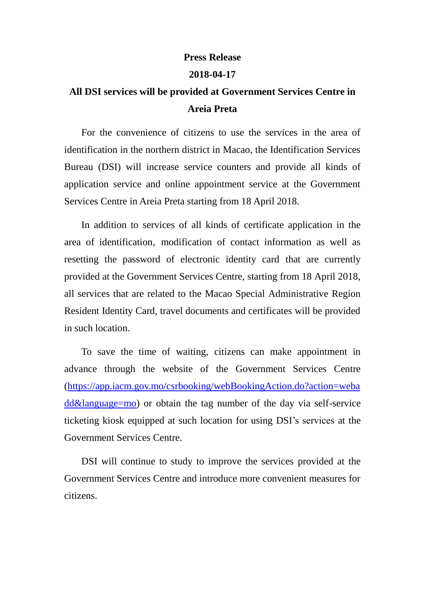## **Press Release**

## **2018-04-17**

## **All DSI services will be provided at Government Services Centre in Areia Preta**

For the convenience of citizens to use the services in the area of identification in the northern district in Macao, the Identification Services Bureau (DSI) will increase service counters and provide all kinds of application service and online appointment service at the Government Services Centre in Areia Preta starting from 18 April 2018.

In addition to services of all kinds of certificate application in the area of identification, modification of contact information as well as resetting the password of electronic identity card that are currently provided at the Government Services Centre, starting from 18 April 2018, all services that are related to the Macao Special Administrative Region Resident Identity Card, travel documents and certificates will be provided in such location.

To save the time of waiting, citizens can make appointment in advance through the website of the Government Services Centre [\(https://app.iacm.gov.mo/csrbooking/webBookingAction.do?action=weba](https://app.iacm.gov.mo/csrbooking/webBookingAction.do?action=webadd&language=mo) [dd&language=mo\)](https://app.iacm.gov.mo/csrbooking/webBookingAction.do?action=webadd&language=mo) or obtain the tag number of the day via self-service ticketing kiosk equipped at such location for using DSI's services at the Government Services Centre.

DSI will continue to study to improve the services provided at the Government Services Centre and introduce more convenient measures for citizens.